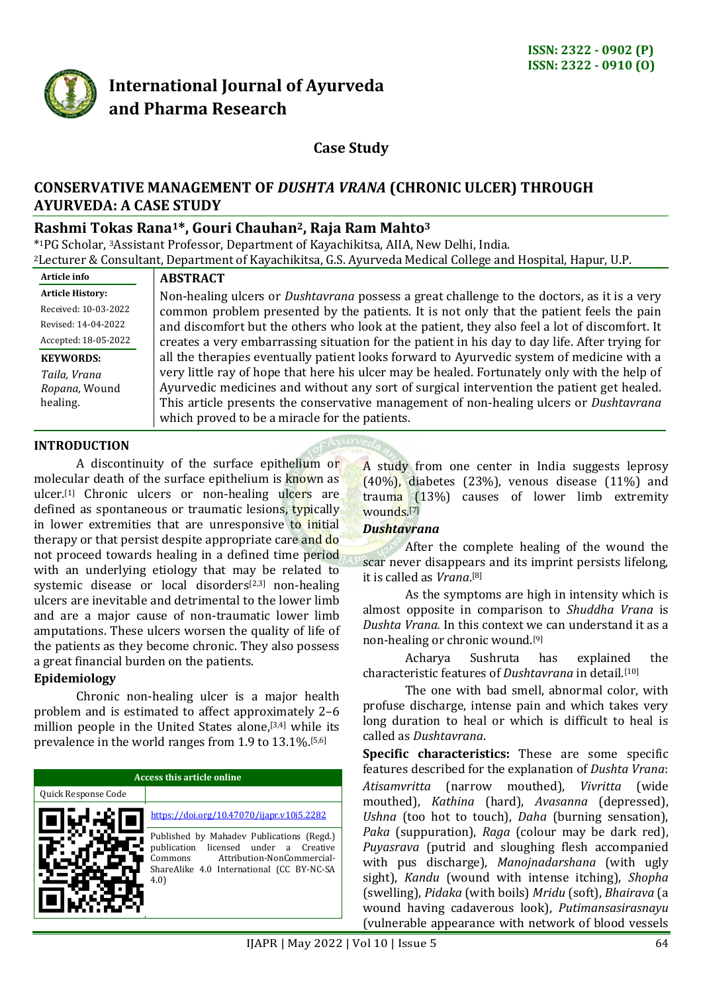

# **International Journal of Ayurveda and Pharma Research**

# **Case Study**

# **CONSERVATIVE MANAGEMENT OF** *DUSHTA VRANA* **(CHRONIC ULCER) THROUGH AYURVEDA: A CASE STUDY**

## **Rashmi Tokas Rana1\*, Gouri Chauhan2, Raja Ram Mahto<sup>3</sup>**

\* <sup>1</sup>PG Scholar, <sup>3</sup>Assistant Professor, Department of Kayachikitsa, AIIA, New Delhi, India. <sup>2</sup>Lecturer & Consultant, Department of Kayachikitsa, G.S. Ayurveda Medical College and Hospital, Hapur, U.P.

| Article info            | <b>ABSTRACT</b>                                                                                    |  |
|-------------------------|----------------------------------------------------------------------------------------------------|--|
| <b>Article History:</b> | Non-healing ulcers or <i>Dushtavrana</i> possess a great challenge to the doctors, as it is a very |  |
| Received: 10-03-2022    | common problem presented by the patients. It is not only that the patient feels the pain           |  |
| Revised: 14-04-2022     | and discomfort but the others who look at the patient, they also feel a lot of discomfort. It      |  |
| Accepted: 18-05-2022    | creates a very embarrassing situation for the patient in his day to day life. After trying for     |  |
| <b>KEYWORDS:</b>        | all the therapies eventually patient looks forward to Ayurvedic system of medicine with a          |  |
| Taila, Vrana            | very little ray of hope that here his ulcer may be healed. Fortunately only with the help of       |  |
| Ropana, Wound           | Ayurvedic medicines and without any sort of surgical intervention the patient get healed.          |  |
| healing.                | This article presents the conservative management of non-healing ulcers or Dushtavrana             |  |
|                         | which proved to be a miracle for the patients.                                                     |  |
|                         |                                                                                                    |  |

#### **INTRODUCTION**

A discontinuity of the surface epithelium or molecular death of the surface epithelium is known as ulcer.[1] Chronic ulcers or non-healing ulcers are defined as spontaneous or traumatic lesions, typically in lower extremities that are unresponsive to initial therapy or that persist despite appropriate care and do not proceed towards healing in a defined time period with an underlying etiology that may be related to systemic disease or local disorders<sup>[2,3]</sup> non-healing ulcers are inevitable and detrimental to the lower limb and are a major cause of non-traumatic lower limb amputations. These ulcers worsen the quality of life of the patients as they become chronic. They also possess a great financial burden on the patients.

#### **Epidemiology**

Chronic non-healing ulcer is a major health problem and is estimated to affect approximately 2–6 million people in the United States alone, [3,4] while its prevalence in the world ranges from 1.9 to 13.1%.<sup>[5,6]</sup>

| Access this article online |                                                                                                                                                                                     |  |  |  |
|----------------------------|-------------------------------------------------------------------------------------------------------------------------------------------------------------------------------------|--|--|--|
| Quick Response Code        |                                                                                                                                                                                     |  |  |  |
|                            | https://doi.org/10.47070/ijapr.v10i5.2282                                                                                                                                           |  |  |  |
|                            | Published by Mahadev Publications (Regd.)<br>licensed under a Creative<br>publication<br>Attribution-NonCommercial-<br>Commons<br>ShareAlike 4.0 International (CC BY-NC-SA<br>4.0) |  |  |  |

A study from one center in India suggests leprosy  $(40\%)$ , diabetes  $(23\%)$ , venous disease  $(11\%)$  and trauma (13%) causes of lower limb extremity wounds.[7]

#### *Dushtavrana*

After the complete healing of the wound the scar never disappears and its imprint persists lifelong, it is called as *Vrana*. [8]

As the symptoms are high in intensity which is almost opposite in comparison to *Shuddha Vrana* is *Dushta Vrana.* In this context we can understand it as a non-healing or chronic wound.[9]

Acharya Sushruta has explained the characteristic features of *Dushtavrana* in detail.[10]

The one with bad smell, abnormal color, with profuse discharge, intense pain and which takes very long duration to heal or which is difficult to heal is called as *Dushtavrana*.

**Specific characteristics:** These are some specific features described for the explanation of *Dushta Vrana*: *Atisamvritta* (narrow mouthed), *Vivritta* (wide mouthed), *Kathina* (hard), *Avasanna* (depressed), *Ushna* (too hot to touch), *Daha* (burning sensation), *Paka* (suppuration), *Raga* (colour may be dark red), *Puyasrava* (putrid and sloughing flesh accompanied with pus discharge), *Manojnadarshana* (with ugly sight), *Kandu* (wound with intense itching), *Shopha* (swelling), *Pidaka* (with boils) *Mridu* (soft), *Bhairava* (a wound having cadaverous look), *Putimansasirasnayu* (vulnerable appearance with network of blood vessels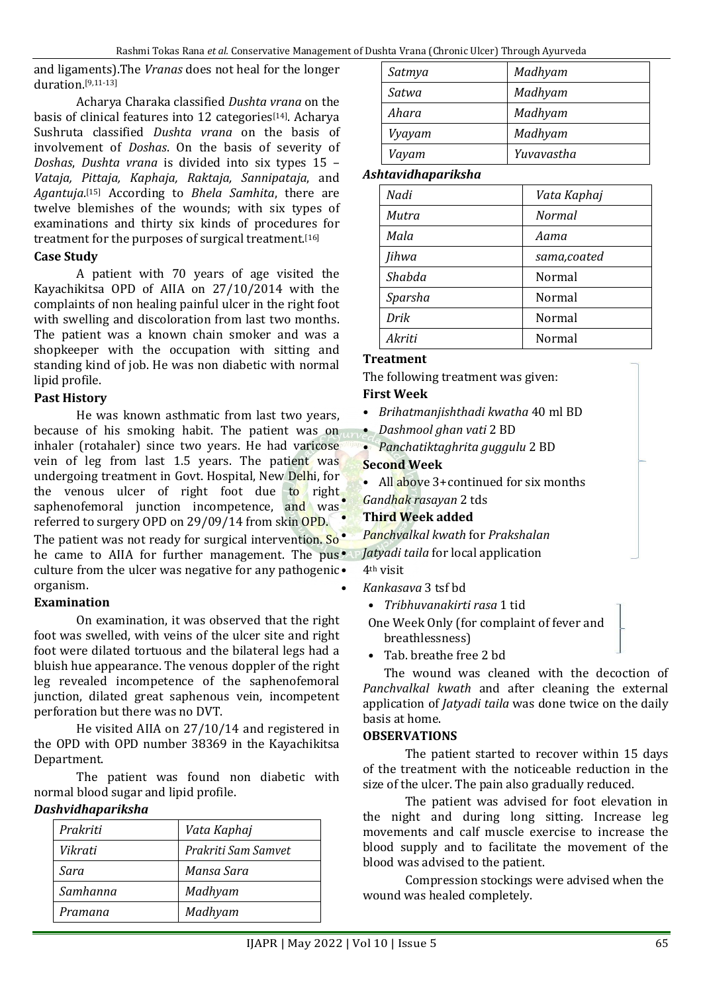and ligaments).The *Vranas* does not heal for the longer duration.[9,11-13]

Acharya Charaka classified *Dushta vrana* on the basis of clinical features into 12 categories<sup>[14]</sup>. Acharya Sushruta classified *Dushta vrana* on the basis of involvement of *Doshas*. On the basis of severity of *Doshas*, *Dushta vrana* is divided into six types 15 – *Vataja, Pittaja, Kaphaja, Raktaja, Sannipataja*, and *Agantuja*. [15] According to *Bhela Samhita*, there are twelve blemishes of the wounds; with six types of examinations and thirty six kinds of procedures for treatment for the purposes of surgical treatment.[16]

## **Case Study**

A patient with 70 years of age visited the Kayachikitsa OPD of AIIA on 27/10/2014 with the complaints of non healing painful ulcer in the right foot with swelling and discoloration from last two months. The patient was a known chain smoker and was a shopkeeper with the occupation with sitting and standing kind of job. He was non diabetic with normal lipid profile.

## **Past History**

He was known asthmatic from last two years, because of his smoking habit. The patient was on inhaler (rotahaler) since two years. He had varicose vein of leg from last 1.5 years. The patient was undergoing treatment in Govt. Hospital, New Delhi, for the venous ulcer of right foot due to right saphenofemoral junction incompetence, and was referred to surgery OPD on 29/09/14 from skin OPD. The patient was not ready for surgical intervention. So<sup>o</sup> he came to AIIA for further management. The pus<sup>out</sup> culture from the ulcer was negative for any pathogenic • organism.

#### **Examination**

On examination, it was observed that the right foot was swelled, with veins of the ulcer site and right foot were dilated tortuous and the bilateral legs had a bluish hue appearance. The venous doppler of the right leg revealed incompetence of the saphenofemoral junction, dilated great saphenous vein, incompetent perforation but there was no DVT.

He visited AIIA on 27/10/14 and registered in the OPD with OPD number 38369 in the Kayachikitsa Department.

The patient was found non diabetic with normal blood sugar and lipid profile.

#### *Dashvidhapariksha*

| Prakriti | Vata Kaphaj         |  |
|----------|---------------------|--|
| Vikrati  | Prakriti Sam Samvet |  |
| Sara     | Mansa Sara          |  |
| Samhanna | Madhyam             |  |
| Pramana  | Madhyam             |  |

|  | Satmya | Madhyam    |
|--|--------|------------|
|  | Satwa  | Madhyam    |
|  | Ahara  | Madhyam    |
|  | Vyayam | Madhyam    |
|  | Vayam  | Yuvavastha |

## *Ashtavidhapariksha*

| Nadi    | Vata Kaphaj |  |
|---------|-------------|--|
| Mutra   | Normal      |  |
| Mala    | Aama        |  |
| Jihwa   | sama,coated |  |
| Shabda  | Normal      |  |
| Sparsha | Normal      |  |
| Drik    | Normal      |  |
| Akriti  | Normal      |  |

## **Treatment**

The following treatment was given:

# **First Week**

- *Brihatmanjishthadi kwatha* 40 ml BD
- *Dashmool ghan vati* 2 BD
- *Panchatiktaghrita guggulu* 2 BD

## **Second Week**

- All above 3+continued for six months • *Gandhak rasayan* 2 tds
- **Third Week added**
- *Panchvalkal kwath* for *Prakshalan* • *Jatyadi taila* for local application

4<sup>th</sup> visit

- *Kankasava* 3 tsf bd
	- *Tribhuvanakirti rasa* 1 tid
	- One Week Only (for complaint of fever and breathlessness)
	- Tab. breathe free 2 bd

The wound was cleaned with the decoction of *Panchvalkal kwath* and after cleaning the external application of *Jatyadi taila* was done twice on the daily basis at home.

#### **OBSERVATIONS**

The patient started to recover within 15 days of the treatment with the noticeable reduction in the size of the ulcer. The pain also gradually reduced.

The patient was advised for foot elevation in the night and during long sitting. Increase leg movements and calf muscle exercise to increase the blood supply and to facilitate the movement of the blood was advised to the patient.

Compression stockings were advised when the wound was healed completely.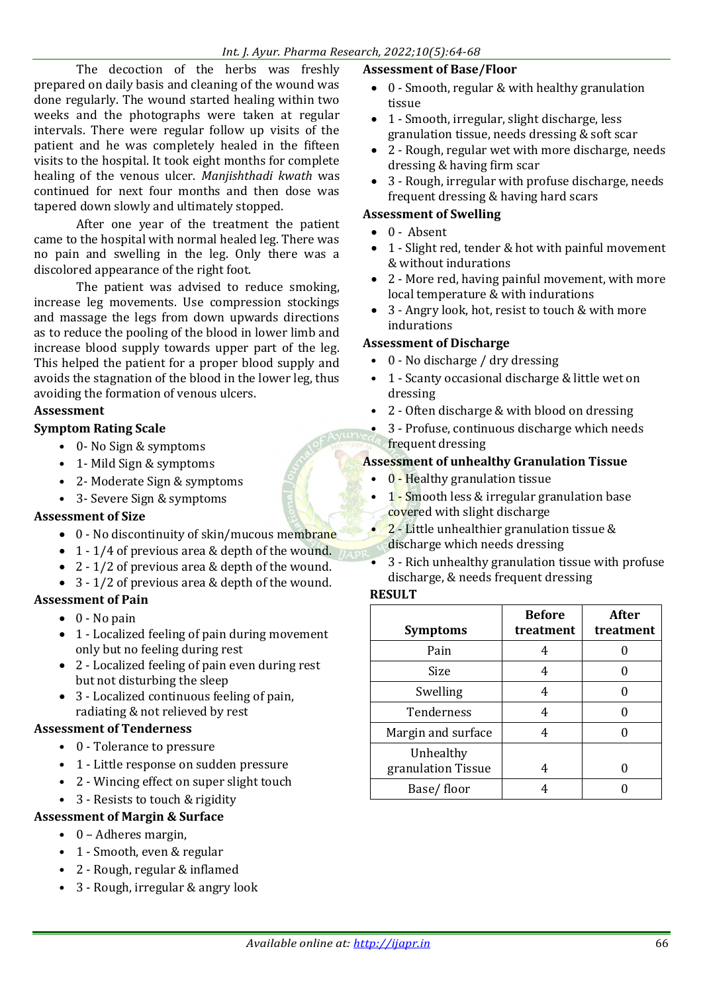The decoction of the herbs was freshly prepared on daily basis and cleaning of the wound was done regularly. The wound started healing within two weeks and the photographs were taken at regular intervals. There were regular follow up visits of the patient and he was completely healed in the fifteen visits to the hospital. It took eight months for complete healing of the venous ulcer. *Manjishthadi kwath* was continued for next four months and then dose was tapered down slowly and ultimately stopped.

After one year of the treatment the patient came to the hospital with normal healed leg. There was no pain and swelling in the leg. Only there was a discolored appearance of the right foot.

The patient was advised to reduce smoking, increase leg movements. Use compression stockings and massage the legs from down upwards directions as to reduce the pooling of the blood in lower limb and increase blood supply towards upper part of the leg. This helped the patient for a proper blood supply and avoids the stagnation of the blood in the lower leg, thus avoiding the formation of venous ulcers.

## **Assessment**

#### **Symptom Rating Scale**

- 0- No Sign & symptoms
- 1- Mild Sign & symptoms
- 2- Moderate Sign & symptoms
- 3- Severe Sign & symptoms

#### **Assessment of Size**

- 0 No discontinuity of skin/mucous membrane
- 1 1/4 of previous area & depth of the wound.
- 2 1/2 of previous area & depth of the wound.
- 3 1/2 of previous area & depth of the wound.

#### **Assessment of Pain**

- $\bullet$  0 No pain
- 1 Localized feeling of pain during movement only but no feeling during rest
- 2 Localized feeling of pain even during rest but not disturbing the sleep
- 3 Localized continuous feeling of pain, radiating & not relieved by rest

## **Assessment of Tenderness**

- 0 Tolerance to pressure
- 1 Little response on sudden pressure
- 2 Wincing effect on super slight touch
- 3 Resists to touch & rigidity

## **Assessment of Margin & Surface**

- 0 Adheres margin,
- 1 Smooth, even & regular
- 2 Rough, regular & inflamed
- 3 Rough, irregular & angry look

## **Assessment of Base/Floor**

- 0 Smooth, regular & with healthy granulation tissue
- 1 Smooth, irregular, slight discharge, less granulation tissue, needs dressing & soft scar
- 2 Rough, regular wet with more discharge, needs dressing & having firm scar
- 3 Rough, irregular with profuse discharge, needs frequent dressing & having hard scars

## **Assessment of Swelling**

- $\bullet$  0 Absent
- 1 Slight red, tender & hot with painful movement & without indurations
- 2 More red, having painful movement, with more local temperature & with indurations
- 3 Angry look, hot, resist to touch & with more indurations

## **Assessment of Discharge**

- 0 No discharge / dry dressing
- 1 Scanty occasional discharge & little wet on dressing
- 2 Often discharge & with blood on dressing
- 3 Profuse, continuous discharge which needs frequent dressing

## **Assessment of unhealthy Granulation Tissue**

- 0 Healthy granulation tissue
- 1 Smooth less & irregular granulation base covered with slight discharge
- 2 Little unhealthier granulation tissue & discharge which needs dressing
- 3 Rich unhealthy granulation tissue with profuse discharge, & needs frequent dressing

## **RESULT**

| <b>Symptoms</b>                 | <b>Before</b><br>treatment | After<br>treatment |
|---------------------------------|----------------------------|--------------------|
| Pain                            | 4                          |                    |
| <b>Size</b>                     | 4                          |                    |
| Swelling                        | 4                          |                    |
| Tenderness                      | 4                          |                    |
| Margin and surface              |                            |                    |
| Unhealthy<br>granulation Tissue |                            |                    |
| Base/floor                      |                            |                    |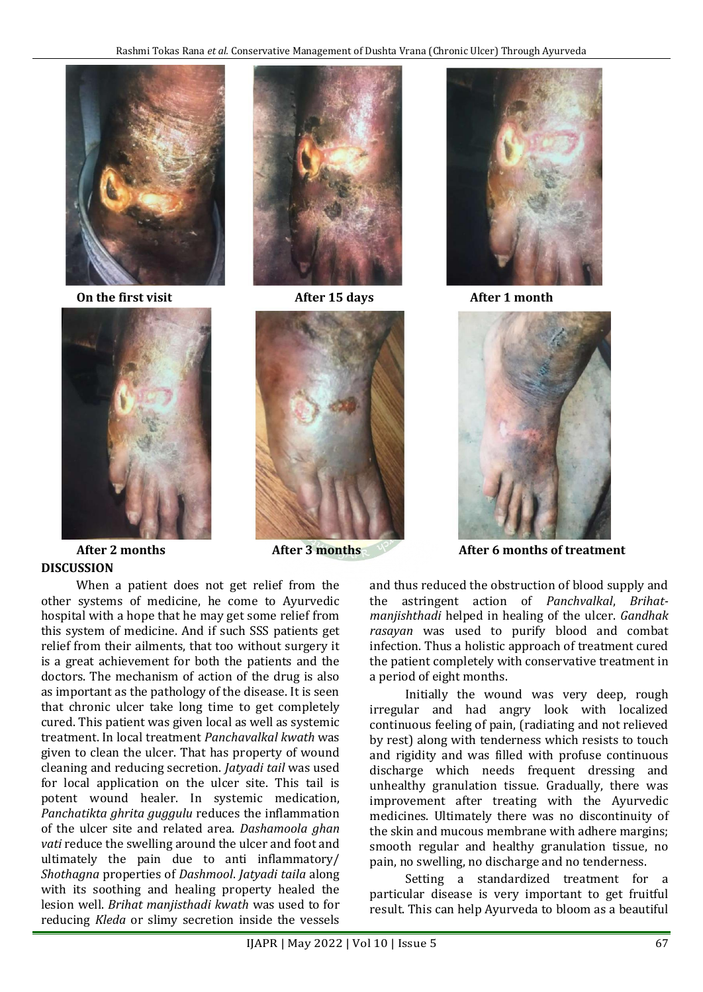

**On the first visit Conserversity Conserversity Conserversity Conserversity Conserversity Conserversity Conserversity Conserversity Conserversity Conserversity Conserversity Conserversity Conserversity Conserversity Conser** 



**DISCUSSION**

When a patient does not get relief from the other systems of medicine, he come to Ayurvedic hospital with a hope that he may get some relief from this system of medicine. And if such SSS patients get relief from their ailments, that too without surgery it is a great achievement for both the patients and the doctors. The mechanism of action of the drug is also as important as the pathology of the disease. It is seen that chronic ulcer take long time to get completely cured. This patient was given local as well as systemic treatment. In local treatment *Panchavalkal kwath* was given to clean the ulcer. That has property of wound cleaning and reducing secretion. *Jatyadi tail* was used for local application on the ulcer site. This tail is potent wound healer. In systemic medication, *Panchatikta ghrita guggulu* reduces the inflammation of the ulcer site and related area. *Dashamoola ghan vati* reduce the swelling around the ulcer and foot and ultimately the pain due to anti inflammatory/ *Shothagna* properties of *Dashmool*. *Jatyadi taila* along with its soothing and healing property healed the lesion well. *Brihat manjisthadi kwath* was used to for reducing *Kleda* or slimy secretion inside the vessels









After 2 months **After 3 months After 6 months of treatment** 

and thus reduced the obstruction of blood supply and the astringent action of *Panchvalkal*, *Brihatmanjishthadi* helped in healing of the ulcer. *Gandhak rasayan* was used to purify blood and combat infection. Thus a holistic approach of treatment cured the patient completely with conservative treatment in a period of eight months.

Initially the wound was very deep, rough irregular and had angry look with localized continuous feeling of pain, (radiating and not relieved by rest) along with tenderness which resists to touch and rigidity and was filled with profuse continuous discharge which needs frequent dressing and unhealthy granulation tissue. Gradually, there was improvement after treating with the Ayurvedic medicines. Ultimately there was no discontinuity of the skin and mucous membrane with adhere margins; smooth regular and healthy granulation tissue, no pain, no swelling, no discharge and no tenderness.

Setting a standardized treatment for a particular disease is very important to get fruitful result. This can help Ayurveda to bloom as a beautiful